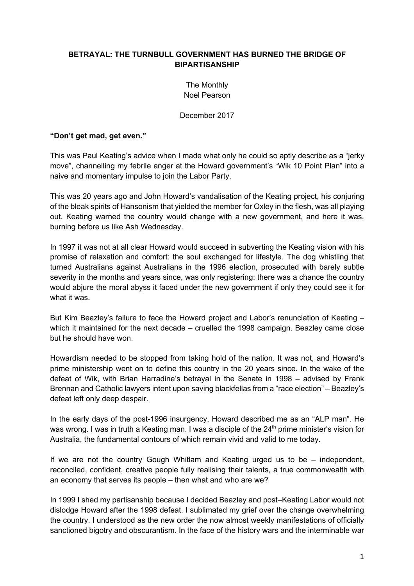#### **BETRAYAL: THE TURNBULL GOVERNMENT HAS BURNED THE BRIDGE OF BIPARTISANSHIP**

The Monthly Noel Pearson

December 2017

#### **"Don't get mad, get even."**

This was Paul Keating's advice when I made what only he could so aptly describe as a "jerky move", channelling my febrile anger at the Howard government's "Wik 10 Point Plan" into a naive and momentary impulse to join the Labor Party.

This was 20 years ago and John Howard's vandalisation of the Keating project, his conjuring of the bleak spirits of Hansonism that yielded the member for Oxley in the flesh, was all playing out. Keating warned the country would change with a new government, and here it was, burning before us like Ash Wednesday.

In 1997 it was not at all clear Howard would succeed in subverting the Keating vision with his promise of relaxation and comfort: the soul exchanged for lifestyle. The dog whistling that turned Australians against Australians in the 1996 election, prosecuted with barely subtle severity in the months and years since, was only registering: there was a chance the country would abjure the moral abyss it faced under the new government if only they could see it for what it was.

But Kim Beazley's failure to face the Howard project and Labor's renunciation of Keating – which it maintained for the next decade – cruelled the 1998 campaign. Beazley came close but he should have won.

Howardism needed to be stopped from taking hold of the nation. It was not, and Howard's prime ministership went on to define this country in the 20 years since. In the wake of the defeat of Wik, with Brian Harradine's betrayal in the Senate in 1998 – advised by Frank Brennan and Catholic lawyers intent upon saving blackfellas from a "race election" – Beazley's defeat left only deep despair.

In the early days of the post-1996 insurgency, Howard described me as an "ALP man". He was wrong. I was in truth a Keating man. I was a disciple of the 24<sup>th</sup> prime minister's vision for Australia, the fundamental contours of which remain vivid and valid to me today.

If we are not the country Gough Whitlam and Keating urged us to be – independent, reconciled, confident, creative people fully realising their talents, a true commonwealth with an economy that serves its people – then what and who are we?

In 1999 I shed my partisanship because I decided Beazley and post–Keating Labor would not dislodge Howard after the 1998 defeat. I sublimated my grief over the change overwhelming the country. I understood as the new order the now almost weekly manifestations of officially sanctioned bigotry and obscurantism. In the face of the history wars and the interminable war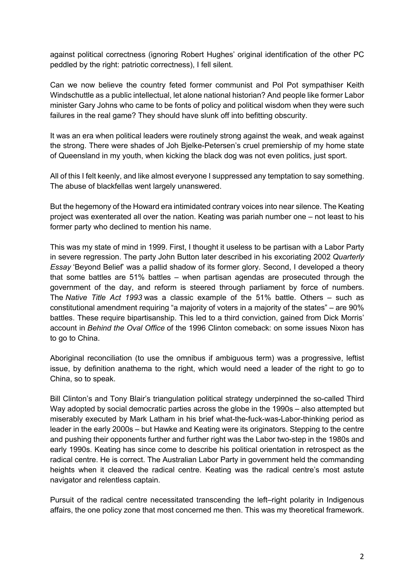against political correctness (ignoring Robert Hughes' original identification of the other PC peddled by the right: patriotic correctness), I fell silent.

Can we now believe the country feted former communist and Pol Pot sympathiser Keith Windschuttle as a public intellectual, let alone national historian? And people like former Labor minister Gary Johns who came to be fonts of policy and political wisdom when they were such failures in the real game? They should have slunk off into befitting obscurity.

It was an era when political leaders were routinely strong against the weak, and weak against the strong. There were shades of Joh Bjelke-Petersen's cruel premiership of my home state of Queensland in my youth, when kicking the black dog was not even politics, just sport.

All of this I felt keenly, and like almost everyone I suppressed any temptation to say something. The abuse of blackfellas went largely unanswered.

But the hegemony of the Howard era intimidated contrary voices into near silence. The Keating project was exenterated all over the nation. Keating was pariah number one – not least to his former party who declined to mention his name.

This was my state of mind in 1999. First, I thought it useless to be partisan with a Labor Party in severe regression. The party John Button later described in his excoriating 2002 *Quarterly Essay* 'Beyond Belief' was a pallid shadow of its former glory. Second, I developed a theory that some battles are 51% battles – when partisan agendas are prosecuted through the government of the day, and reform is steered through parliament by force of numbers. The *Native Title Act 1993* was a classic example of the 51% battle. Others – such as constitutional amendment requiring "a majority of voters in a majority of the states" – are 90% battles. These require bipartisanship. This led to a third conviction, gained from Dick Morris' account in *Behind the Oval Office* of the 1996 Clinton comeback: on some issues Nixon has to go to China.

Aboriginal reconciliation (to use the omnibus if ambiguous term) was a progressive, leftist issue, by definition anathema to the right, which would need a leader of the right to go to China, so to speak.

Bill Clinton's and Tony Blair's triangulation political strategy underpinned the so-called Third Way adopted by social democratic parties across the globe in the 1990s – also attempted but miserably executed by Mark Latham in his brief what-the-fuck-was-Labor-thinking period as leader in the early 2000s – but Hawke and Keating were its originators. Stepping to the centre and pushing their opponents further and further right was the Labor two-step in the 1980s and early 1990s. Keating has since come to describe his political orientation in retrospect as the radical centre. He is correct. The Australian Labor Party in government held the commanding heights when it cleaved the radical centre. Keating was the radical centre's most astute navigator and relentless captain.

Pursuit of the radical centre necessitated transcending the left–right polarity in Indigenous affairs, the one policy zone that most concerned me then. This was my theoretical framework.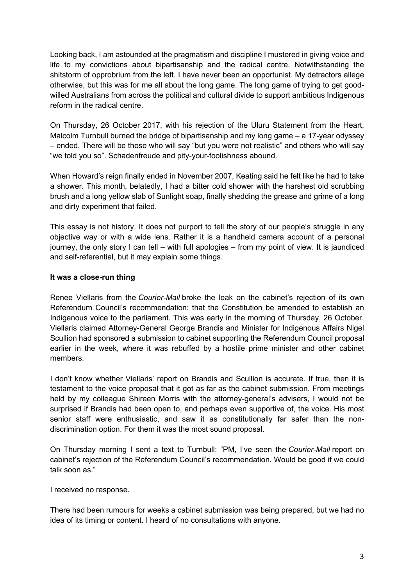Looking back, I am astounded at the pragmatism and discipline I mustered in giving voice and life to my convictions about bipartisanship and the radical centre. Notwithstanding the shitstorm of opprobrium from the left. I have never been an opportunist. My detractors allege otherwise, but this was for me all about the long game. The long game of trying to get goodwilled Australians from across the political and cultural divide to support ambitious Indigenous reform in the radical centre.

On Thursday, 26 October 2017, with his rejection of the Uluru Statement from the Heart, Malcolm Turnbull burned the bridge of bipartisanship and my long game – a 17-year odyssey – ended. There will be those who will say "but you were not realistic" and others who will say "we told you so". Schadenfreude and pity-your-foolishness abound.

When Howard's reign finally ended in November 2007, Keating said he felt like he had to take a shower. This month, belatedly, I had a bitter cold shower with the harshest old scrubbing brush and a long yellow slab of Sunlight soap, finally shedding the grease and grime of a long and dirty experiment that failed.

This essay is not history. It does not purport to tell the story of our people's struggle in any objective way or with a wide lens. Rather it is a handheld camera account of a personal journey, the only story I can tell – with full apologies – from my point of view. It is jaundiced and self-referential, but it may explain some things.

#### **It was a close-run thing**

Renee Viellaris from the *Courier-Mail* broke the leak on the cabinet's rejection of its own Referendum Council's recommendation: that the Constitution be amended to establish an Indigenous voice to the parliament. This was early in the morning of Thursday, 26 October. Viellaris claimed Attorney-General George Brandis and Minister for Indigenous Affairs Nigel Scullion had sponsored a submission to cabinet supporting the Referendum Council proposal earlier in the week, where it was rebuffed by a hostile prime minister and other cabinet members.

I don't know whether Viellaris' report on Brandis and Scullion is accurate. If true, then it is testament to the voice proposal that it got as far as the cabinet submission. From meetings held by my colleague Shireen Morris with the attorney-general's advisers, I would not be surprised if Brandis had been open to, and perhaps even supportive of, the voice. His most senior staff were enthusiastic, and saw it as constitutionally far safer than the nondiscrimination option. For them it was the most sound proposal.

On Thursday morning I sent a text to Turnbull: "PM, I've seen the *Courier-Mail* report on cabinet's rejection of the Referendum Council's recommendation. Would be good if we could talk soon as."

I received no response.

There had been rumours for weeks a cabinet submission was being prepared, but we had no idea of its timing or content. I heard of no consultations with anyone.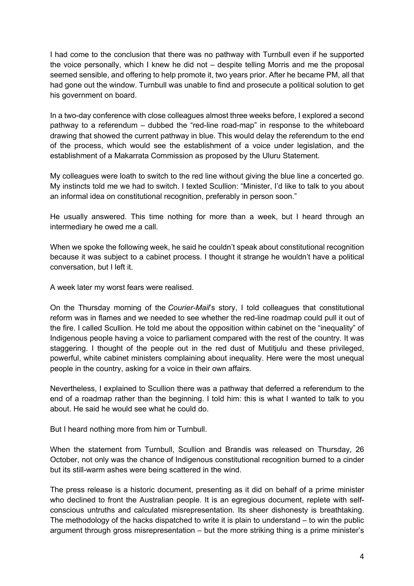I had come to the conclusion that there was no pathway with Turnbull even if he supported the voice personally, which I knew he did not – despite telling Morris and me the proposal seemed sensible, and offering to help promote it, two years prior. After he became PM, all that had gone out the window. Turnbull was unable to find and prosecute a political solution to get his government on board.

In a two-day conference with close colleagues almost three weeks before, I explored a second pathway to a referendum – dubbed the "red-line road-map" in response to the whiteboard drawing that showed the current pathway in blue. This would delay the referendum to the end of the process, which would see the establishment of a voice under legislation, and the establishment of a Makarrata Commission as proposed by the Uluru Statement.

My colleagues were loath to switch to the red line without giving the blue line a concerted go. My instincts told me we had to switch. I texted Scullion: "Minister, I'd like to talk to you about an informal idea on constitutional recognition, preferably in person soon."

He usually answered. This time nothing for more than a week, but I heard through an intermediary he owed me a call.

When we spoke the following week, he said he couldn't speak about constitutional recognition because it was subject to a cabinet process. I thought it strange he wouldn't have a political conversation, but I left it.

A week later my worst fears were realised.

On the Thursday morning of the *Courier-Mail*'s story, I told colleagues that constitutional reform was in flames and we needed to see whether the red-line roadmap could pull it out of the fire. I called Scullion. He told me about the opposition within cabinet on the "inequality" of Indigenous people having a voice to parliament compared with the rest of the country. It was staggering. I thought of the people out in the red dust of Mutitjulu and these privileged, powerful, white cabinet ministers complaining about inequality. Here were the most unequal people in the country, asking for a voice in their own affairs.

Nevertheless, I explained to Scullion there was a pathway that deferred a referendum to the end of a roadmap rather than the beginning. I told him: this is what I wanted to talk to you about. He said he would see what he could do.

But I heard nothing more from him or Turnbull.

When the statement from Turnbull, Scullion and Brandis was released on Thursday, 26 October, not only was the chance of Indigenous constitutional recognition burned to a cinder but its still-warm ashes were being scattered in the wind.

The press release is a historic document, presenting as it did on behalf of a prime minister who declined to front the Australian people. It is an egregious document, replete with selfconscious untruths and calculated misrepresentation. Its sheer dishonesty is breathtaking. The methodology of the hacks dispatched to write it is plain to understand  $-$  to win the public argument through gross misrepresentation – but the more striking thing is a prime minister's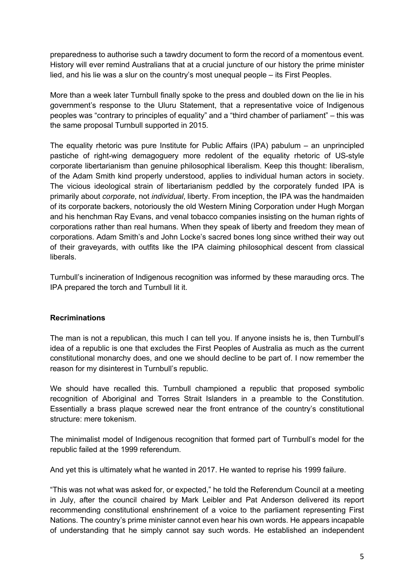preparedness to authorise such a tawdry document to form the record of a momentous event. History will ever remind Australians that at a crucial juncture of our history the prime minister lied, and his lie was a slur on the country's most unequal people – its First Peoples.

More than a week later Turnbull finally spoke to the press and doubled down on the lie in his government's response to the Uluru Statement, that a representative voice of Indigenous peoples was "contrary to principles of equality" and a "third chamber of parliament" – this was the same proposal Turnbull supported in 2015.

The equality rhetoric was pure Institute for Public Affairs (IPA) pabulum – an unprincipled pastiche of right-wing demagoguery more redolent of the equality rhetoric of US-style corporate libertarianism than genuine philosophical liberalism. Keep this thought: liberalism, of the Adam Smith kind properly understood, applies to individual human actors in society. The vicious ideological strain of libertarianism peddled by the corporately funded IPA is primarily about *corporate*, not *individual*, liberty. From inception, the IPA was the handmaiden of its corporate backers, notoriously the old Western Mining Corporation under Hugh Morgan and his henchman Ray Evans, and venal tobacco companies insisting on the human rights of corporations rather than real humans. When they speak of liberty and freedom they mean of corporations. Adam Smith's and John Locke's sacred bones long since writhed their way out of their graveyards, with outfits like the IPA claiming philosophical descent from classical liberals.

Turnbull's incineration of Indigenous recognition was informed by these marauding orcs. The IPA prepared the torch and Turnbull lit it.

# **Recriminations**

The man is not a republican, this much I can tell you. If anyone insists he is, then Turnbull's idea of a republic is one that excludes the First Peoples of Australia as much as the current constitutional monarchy does, and one we should decline to be part of. I now remember the reason for my disinterest in Turnbull's republic.

We should have recalled this. Turnbull championed a republic that proposed symbolic recognition of Aboriginal and Torres Strait Islanders in a preamble to the Constitution. Essentially a brass plaque screwed near the front entrance of the country's constitutional structure: mere tokenism.

The minimalist model of Indigenous recognition that formed part of Turnbull's model for the republic failed at the 1999 referendum.

And yet this is ultimately what he wanted in 2017. He wanted to reprise his 1999 failure.

"This was not what was asked for, or expected," he told the Referendum Council at a meeting in July, after the council chaired by Mark Leibler and Pat Anderson delivered its report recommending constitutional enshrinement of a voice to the parliament representing First Nations. The country's prime minister cannot even hear his own words. He appears incapable of understanding that he simply cannot say such words. He established an independent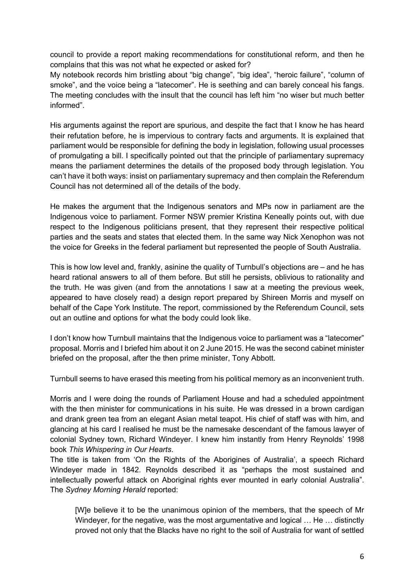council to provide a report making recommendations for constitutional reform, and then he complains that this was not what he expected or asked for?

My notebook records him bristling about "big change", "big idea", "heroic failure", "column of smoke", and the voice being a "latecomer". He is seething and can barely conceal his fangs. The meeting concludes with the insult that the council has left him "no wiser but much better informed".

His arguments against the report are spurious, and despite the fact that I know he has heard their refutation before, he is impervious to contrary facts and arguments. It is explained that parliament would be responsible for defining the body in legislation, following usual processes of promulgating a bill. I specifically pointed out that the principle of parliamentary supremacy means the parliament determines the details of the proposed body through legislation. You can't have it both ways: insist on parliamentary supremacy and then complain the Referendum Council has not determined all of the details of the body.

He makes the argument that the Indigenous senators and MPs now in parliament are the Indigenous voice to parliament. Former NSW premier Kristina Keneally points out, with due respect to the Indigenous politicians present, that they represent their respective political parties and the seats and states that elected them. In the same way Nick Xenophon was not the voice for Greeks in the federal parliament but represented the people of South Australia.

This is how low level and, frankly, asinine the quality of Turnbull's objections are – and he has heard rational answers to all of them before. But still he persists, oblivious to rationality and the truth. He was given (and from the annotations I saw at a meeting the previous week, appeared to have closely read) a design report prepared by Shireen Morris and myself on behalf of the Cape York Institute. The report, commissioned by the Referendum Council, sets out an outline and options for what the body could look like.

I don't know how Turnbull maintains that the Indigenous voice to parliament was a "latecomer" proposal. Morris and I briefed him about it on 2 June 2015. He was the second cabinet minister briefed on the proposal, after the then prime minister, Tony Abbott.

Turnbull seems to have erased this meeting from his political memory as an inconvenient truth.

Morris and I were doing the rounds of Parliament House and had a scheduled appointment with the then minister for communications in his suite. He was dressed in a brown cardigan and drank green tea from an elegant Asian metal teapot. His chief of staff was with him, and glancing at his card I realised he must be the namesake descendant of the famous lawyer of colonial Sydney town, Richard Windeyer. I knew him instantly from Henry Reynolds' 1998 book *This Whispering in Our Hearts*.

The title is taken from 'On the Rights of the Aborigines of Australia', a speech Richard Windeyer made in 1842. Reynolds described it as "perhaps the most sustained and intellectually powerful attack on Aboriginal rights ever mounted in early colonial Australia". The *Sydney Morning Herald* reported:

[W]e believe it to be the unanimous opinion of the members, that the speech of Mr Windeyer, for the negative, was the most argumentative and logical ... He ... distinctly proved not only that the Blacks have no right to the soil of Australia for want of settled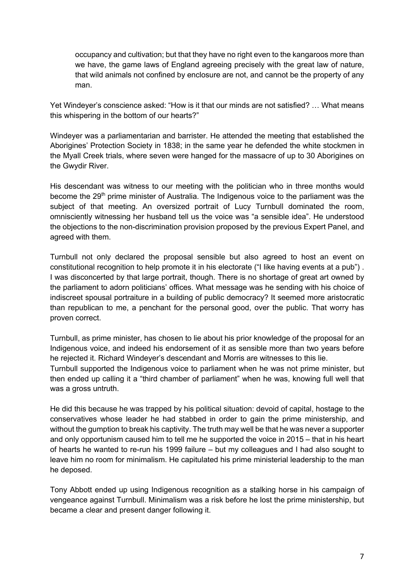occupancy and cultivation; but that they have no right even to the kangaroos more than we have, the game laws of England agreeing precisely with the great law of nature, that wild animals not confined by enclosure are not, and cannot be the property of any man.

Yet Windeyer's conscience asked: "How is it that our minds are not satisfied? … What means this whispering in the bottom of our hearts?"

Windeyer was a parliamentarian and barrister. He attended the meeting that established the Aborigines' Protection Society in 1838; in the same year he defended the white stockmen in the Myall Creek trials, where seven were hanged for the massacre of up to 30 Aborigines on the Gwydir River.

His descendant was witness to our meeting with the politician who in three months would become the 29<sup>th</sup> prime minister of Australia. The Indigenous voice to the parliament was the subject of that meeting. An oversized portrait of Lucy Turnbull dominated the room, omnisciently witnessing her husband tell us the voice was "a sensible idea". He understood the objections to the non-discrimination provision proposed by the previous Expert Panel, and agreed with them.

Turnbull not only declared the proposal sensible but also agreed to host an event on constitutional recognition to help promote it in his electorate ("I like having events at a pub") . I was disconcerted by that large portrait, though. There is no shortage of great art owned by the parliament to adorn politicians' offices. What message was he sending with his choice of indiscreet spousal portraiture in a building of public democracy? It seemed more aristocratic than republican to me, a penchant for the personal good, over the public. That worry has proven correct.

Turnbull, as prime minister, has chosen to lie about his prior knowledge of the proposal for an Indigenous voice, and indeed his endorsement of it as sensible more than two years before he rejected it. Richard Windeyer's descendant and Morris are witnesses to this lie. Turnbull supported the Indigenous voice to parliament when he was not prime minister, but then ended up calling it a "third chamber of parliament" when he was, knowing full well that was a gross untruth.

He did this because he was trapped by his political situation: devoid of capital, hostage to the conservatives whose leader he had stabbed in order to gain the prime ministership, and without the gumption to break his captivity. The truth may well be that he was never a supporter and only opportunism caused him to tell me he supported the voice in 2015 – that in his heart of hearts he wanted to re-run his 1999 failure – but my colleagues and I had also sought to leave him no room for minimalism. He capitulated his prime ministerial leadership to the man he deposed.

Tony Abbott ended up using Indigenous recognition as a stalking horse in his campaign of vengeance against Turnbull. Minimalism was a risk before he lost the prime ministership, but became a clear and present danger following it.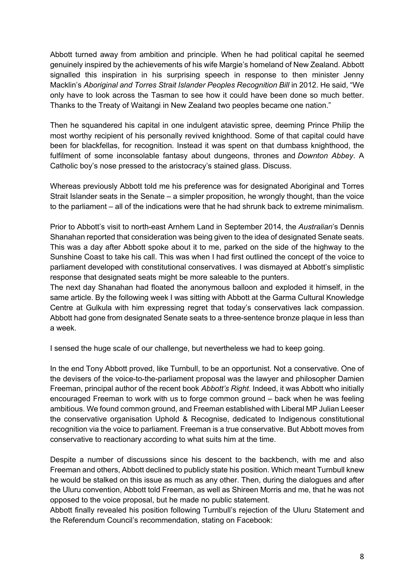Abbott turned away from ambition and principle. When he had political capital he seemed genuinely inspired by the achievements of his wife Margie's homeland of New Zealand. Abbott signalled this inspiration in his surprising speech in response to then minister Jenny Macklin's *Aboriginal and Torres Strait Islander Peoples Recognition Bill* in 2012. He said, "We only have to look across the Tasman to see how it could have been done so much better. Thanks to the Treaty of Waitangi in New Zealand two peoples became one nation."

Then he squandered his capital in one indulgent atavistic spree, deeming Prince Philip the most worthy recipient of his personally revived knighthood. Some of that capital could have been for blackfellas, for recognition. Instead it was spent on that dumbass knighthood, the fulfilment of some inconsolable fantasy about dungeons, thrones and *Downton Abbey*. A Catholic boy's nose pressed to the aristocracy's stained glass. Discuss.

Whereas previously Abbott told me his preference was for designated Aboriginal and Torres Strait Islander seats in the Senate – a simpler proposition, he wrongly thought, than the voice to the parliament – all of the indications were that he had shrunk back to extreme minimalism.

Prior to Abbott's visit to north-east Arnhem Land in September 2014, the *Australian*'s Dennis Shanahan reported that consideration was being given to the idea of designated Senate seats. This was a day after Abbott spoke about it to me, parked on the side of the highway to the Sunshine Coast to take his call. This was when I had first outlined the concept of the voice to parliament developed with constitutional conservatives. I was dismayed at Abbott's simplistic response that designated seats might be more saleable to the punters.

The next day Shanahan had floated the anonymous balloon and exploded it himself, in the same article. By the following week I was sitting with Abbott at the Garma Cultural Knowledge Centre at Gulkula with him expressing regret that today's conservatives lack compassion. Abbott had gone from designated Senate seats to a three-sentence bronze plaque in less than a week.

I sensed the huge scale of our challenge, but nevertheless we had to keep going.

In the end Tony Abbott proved, like Turnbull, to be an opportunist. Not a conservative. One of the devisers of the voice-to-the-parliament proposal was the lawyer and philosopher Damien Freeman, principal author of the recent book *Abbott's Right*. Indeed, it was Abbott who initially encouraged Freeman to work with us to forge common ground – back when he was feeling ambitious. We found common ground, and Freeman established with Liberal MP Julian Leeser the conservative organisation Uphold & Recognise, dedicated to Indigenous constitutional recognition via the voice to parliament. Freeman is a true conservative. But Abbott moves from conservative to reactionary according to what suits him at the time.

Despite a number of discussions since his descent to the backbench, with me and also Freeman and others, Abbott declined to publicly state his position. Which meant Turnbull knew he would be stalked on this issue as much as any other. Then, during the dialogues and after the Uluru convention, Abbott told Freeman, as well as Shireen Morris and me, that he was not opposed to the voice proposal, but he made no public statement.

Abbott finally revealed his position following Turnbull's rejection of the Uluru Statement and the Referendum Council's recommendation, stating on Facebook: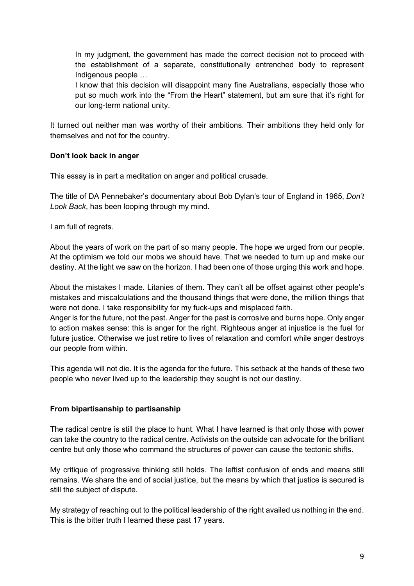In my judgment, the government has made the correct decision not to proceed with the establishment of a separate, constitutionally entrenched body to represent Indigenous people …

I know that this decision will disappoint many fine Australians, especially those who put so much work into the "From the Heart" statement, but am sure that it's right for our long-term national unity.

It turned out neither man was worthy of their ambitions. Their ambitions they held only for themselves and not for the country.

# **Don't look back in anger**

This essay is in part a meditation on anger and political crusade.

The title of DA Pennebaker's documentary about Bob Dylan's tour of England in 1965, *Don't Look Back*, has been looping through my mind.

I am full of regrets.

About the years of work on the part of so many people. The hope we urged from our people. At the optimism we told our mobs we should have. That we needed to turn up and make our destiny. At the light we saw on the horizon. I had been one of those urging this work and hope.

About the mistakes I made. Litanies of them. They can't all be offset against other people's mistakes and miscalculations and the thousand things that were done, the million things that were not done. I take responsibility for my fuck-ups and misplaced faith.

Anger is for the future, not the past. Anger for the past is corrosive and burns hope. Only anger to action makes sense: this is anger for the right. Righteous anger at injustice is the fuel for future justice. Otherwise we just retire to lives of relaxation and comfort while anger destroys our people from within.

This agenda will not die. It is the agenda for the future. This setback at the hands of these two people who never lived up to the leadership they sought is not our destiny.

# **From bipartisanship to partisanship**

The radical centre is still the place to hunt. What I have learned is that only those with power can take the country to the radical centre. Activists on the outside can advocate for the brilliant centre but only those who command the structures of power can cause the tectonic shifts.

My critique of progressive thinking still holds. The leftist confusion of ends and means still remains. We share the end of social justice, but the means by which that justice is secured is still the subject of dispute.

My strategy of reaching out to the political leadership of the right availed us nothing in the end. This is the bitter truth I learned these past 17 years.